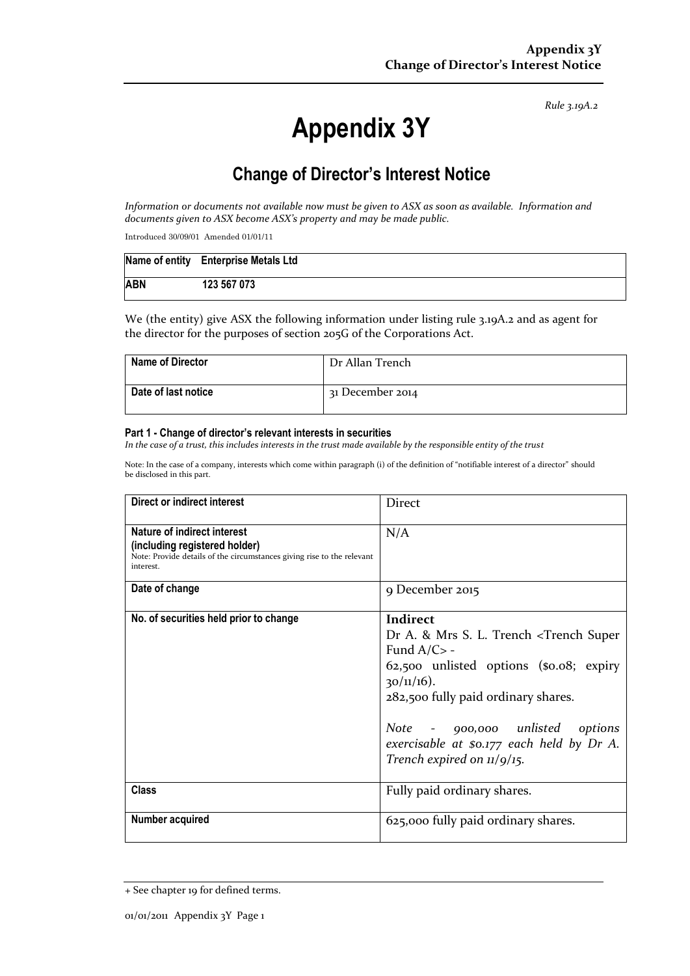*Rule 3.19A.2*

# **Appendix 3Y**

# **Change of Director's Interest Notice**

*Information or documents not available now must be given to ASX as soon as available. Information and documents given to ASX become ASX's property and may be made public.*

Introduced 30/09/01 Amended 01/01/11

|            | Name of entity Enterprise Metals Ltd |
|------------|--------------------------------------|
| <b>ABN</b> | 123 567 073                          |

We (the entity) give ASX the following information under listing rule 3.19A.2 and as agent for the director for the purposes of section 205G of the Corporations Act.

| <b>Name of Director</b> | Dr Allan Trench  |
|-------------------------|------------------|
| Date of last notice     | 31 December 2014 |

#### **Part 1 - Change of director's relevant interests in securities**

*In the case of a trust, this includes interests in the trust made available by the responsible entity of the trust*

Note: In the case of a company, interests which come within paragraph (i) of the definition of "notifiable interest of a director" should be disclosed in this part.

| Direct or indirect interest                                                                                                                         | <b>Direct</b>                                                                                                                                                                                                                                                                                                                                  |  |
|-----------------------------------------------------------------------------------------------------------------------------------------------------|------------------------------------------------------------------------------------------------------------------------------------------------------------------------------------------------------------------------------------------------------------------------------------------------------------------------------------------------|--|
| Nature of indirect interest<br>(including registered holder)<br>Note: Provide details of the circumstances giving rise to the relevant<br>interest. | N/A                                                                                                                                                                                                                                                                                                                                            |  |
| Date of change                                                                                                                                      | 9 December 2015                                                                                                                                                                                                                                                                                                                                |  |
| No. of securities held prior to change                                                                                                              | Indirect<br>Dr A. & Mrs S. L. Trench <trench super<br="">Fund <math>A/C</math> -<br/>62,500 unlisted options (\$0.08; expiry<br/><math>30/11/16</math>).<br/>282,500 fully paid ordinary shares.<br/>Note - 900,000 unlisted options<br/>exercisable at \$0.177 each held by Dr A.<br/>Trench expired on <math>\frac{1}{9}</math>/15.</trench> |  |
| Class                                                                                                                                               | Fully paid ordinary shares.                                                                                                                                                                                                                                                                                                                    |  |
| Number acquired                                                                                                                                     | 625,000 fully paid ordinary shares.                                                                                                                                                                                                                                                                                                            |  |

<sup>+</sup> See chapter 19 for defined terms.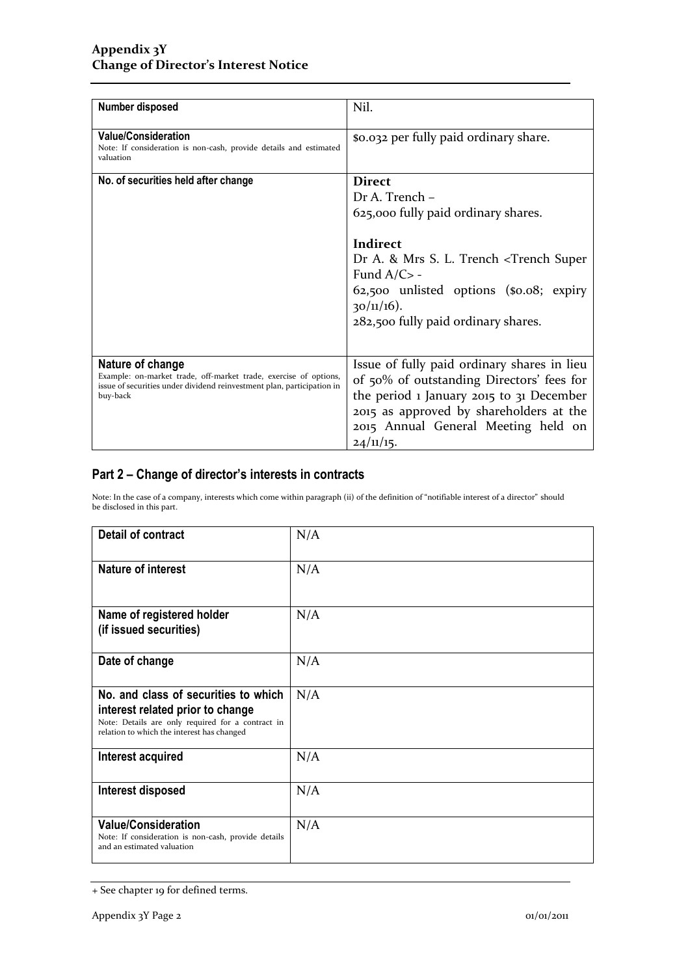| Number disposed                                                                                                                                                            | Nil.                                                                                                                                                                                                                                                                                |
|----------------------------------------------------------------------------------------------------------------------------------------------------------------------------|-------------------------------------------------------------------------------------------------------------------------------------------------------------------------------------------------------------------------------------------------------------------------------------|
| <b>Value/Consideration</b><br>Note: If consideration is non-cash, provide details and estimated<br>valuation                                                               | \$0.032 per fully paid ordinary share.                                                                                                                                                                                                                                              |
| No. of securities held after change                                                                                                                                        | <b>Direct</b><br>Dr A. Trench -<br>625,000 fully paid ordinary shares.<br>Indirect<br>Dr A. & Mrs S. L. Trench <trench super<br="">Fund <math>A/C</math> -<br/>62,500 unlisted options (\$0.08; expiry<br/><math>30/11/16</math>).<br/>282,500 fully paid ordinary shares.</trench> |
| Nature of change<br>Example: on-market trade, off-market trade, exercise of options,<br>issue of securities under dividend reinvestment plan, participation in<br>buy-back | Issue of fully paid ordinary shares in lieu<br>of 50% of outstanding Directors' fees for<br>the period 1 January 2015 to 31 December<br>2015 as approved by shareholders at the<br>2015 Annual General Meeting held on<br>24/11/15.                                                 |

### **Part 2 – Change of director's interests in contracts**

Note: In the case of a company, interests which come within paragraph (ii) of the definition of "notifiable interest of a director" should be disclosed in this part.

| <b>Detail of contract</b>                                                                                                                                                   | N/A |
|-----------------------------------------------------------------------------------------------------------------------------------------------------------------------------|-----|
| <b>Nature of interest</b>                                                                                                                                                   | N/A |
| Name of registered holder<br>(if issued securities)                                                                                                                         | N/A |
| Date of change                                                                                                                                                              | N/A |
| No. and class of securities to which<br>interest related prior to change<br>Note: Details are only required for a contract in<br>relation to which the interest has changed | N/A |
| Interest acquired                                                                                                                                                           | N/A |
| <b>Interest disposed</b>                                                                                                                                                    | N/A |
| <b>Value/Consideration</b><br>Note: If consideration is non-cash, provide details<br>and an estimated valuation                                                             | N/A |

<sup>+</sup> See chapter 19 for defined terms.